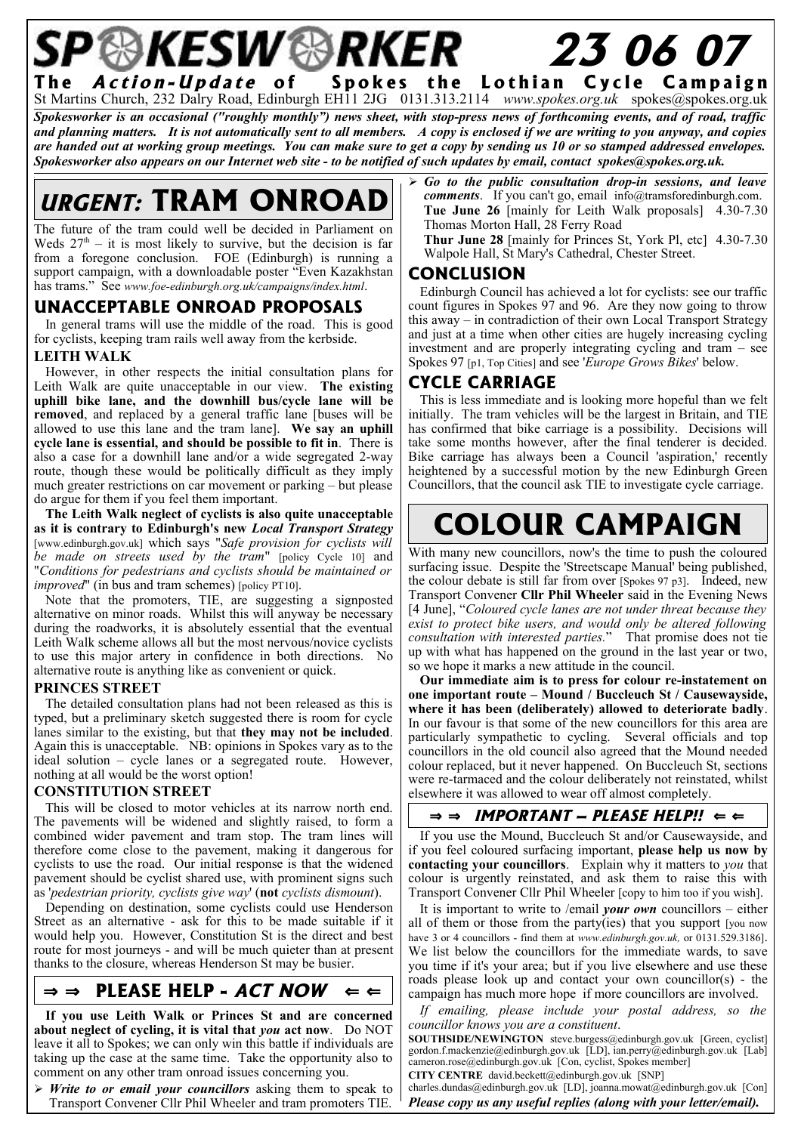### P®KESW®RKER **23 06 07** The *Action-Update* of Spokes the Lothian Cycle Campaign

St Martins Church, 232 Dalry Road, Edinburgh EH11 2JG 0131.313.2114 *www.spokes.org.uk* spokes@spokes.org.uk Spokesworker is an occasional ("roughly monthly") news sheet, with stop-press news of forthcoming events, and of road, traffic and planning matters. It is not automatically sent to all members. A copy is enclosed if we are writing to you anyway, and copies are handed out at working group meetings. You can make sure to get a copy by sending us 10 or so stamped addressed envelopes. *Spokesworker also appears on our Internet web site - to be notified of such updates by email, contact spokes@spokes.org.uk.*

## **URGENT: TRAM ONROAD**

The future of the tram could well be decided in Parliament on Weds  $27<sup>th</sup>$  – it is most likely to survive, but the decision is far from a foregone conclusion. FOE (Edinburgh) is running a support campaign, with a downloadable poster "Even Kazakhstan has trams." See *www.foe-edinburgh.org.uk/campaigns/index.html*.

### **UNACCEPTABLE ONROAD PROPOSALS**

In general trams will use the middle of the road. This is good for cyclists, keeping tram rails well away from the kerbside.

#### **LEITH WALK**

However, in other respects the initial consultation plans for Leith Walk are quite unacceptable in our view. **The existing uphill bike lane, and the downhill bus/cycle lane will be removed**, and replaced by a general traffic lane [buses will be allowed to use this lane and the tram lane]. **We say an uphill cycle lane is essential, and should be possible to fit in**. There is also a case for a downhill lane and/or a wide segregated 2-way route, though these would be politically difficult as they imply much greater restrictions on car movement or parking – but please do argue for them if you feel them important.

**The Leith Walk neglect of cyclists is also quite unacceptable as it is contrary to Edinburgh's new** *Local Transport Strategy* [www.edinburgh.gov.uk] which says "*Safe provision for cyclists will be made on streets used by the tram*" [policy Cycle 10] and "*Conditions for pedestrians and cyclists should be maintained or improved*" (in bus and tram schemes) [policy PT10].

Note that the promoters, TIE, are suggesting a signposted alternative on minor roads. Whilst this will anyway be necessary during the roadworks, it is absolutely essential that the eventual Leith Walk scheme allows all but the most nervous/novice cyclists to use this major artery in confidence in both directions. No alternative route is anything like as convenient or quick.

#### **PRINCES STREET**

The detailed consultation plans had not been released as this is typed, but a preliminary sketch suggested there is room for cycle lanes similar to the existing, but that **they may not be included**. Again this is unacceptable. NB: opinions in Spokes vary as to the ideal solution – cycle lanes or a segregated route. However, nothing at all would be the worst option!

#### **CONSTITUTION STREET**

This will be closed to motor vehicles at its narrow north end. The pavements will be widened and slightly raised, to form a combined wider pavement and tram stop. The tram lines will therefore come close to the pavement, making it dangerous for cyclists to use the road. Our initial response is that the widened pavement should be cyclist shared use, with prominent signs such as '*pedestrian priority, cyclists give way*' (**not** *cyclists dismount*).

Depending on destination, some cyclists could use Henderson Street as an alternative - ask for this to be made suitable if it would help you. However, Constitution St is the direct and best route for most journeys - and will be much quieter than at present thanks to the closure, whereas Henderson St may be busier.

### $\Rightarrow$  **PLEASE HELP - ACT NOW**  $\Leftarrow$

**If you use Leith Walk or Princes St and are concerned about neglect of cycling, it is vital that** *you* **act now**. Do NOT leave it all to Spokes; we can only win this battle if individuals are taking up the case at the same time. Take the opportunity also to comment on any other tram onroad issues concerning you.

➢ *Write to or email your councillors* asking them to speak to Transport Convener Cllr Phil Wheeler and tram promoters TIE.

➢ *Go to the public consultation drop-in sessions, and leave comments*. If you can't go, email info@tramsforedinburgh.com. **Tue June 26** [mainly for Leith Walk proposals] 4.30-7.30 Thomas Morton Hall, 28 Ferry Road

**Thur June 28** [mainly for Princes St, York Pl, etc] 4.30-7.30 Walpole Hall, St Mary's Cathedral, Chester Street.

#### **CONCLUSION**

Edinburgh Council has achieved a lot for cyclists: see our traffic count figures in Spokes 97 and 96. Are they now going to throw this away – in contradiction of their own Local Transport Strategy and just at a time when other cities are hugely increasing cycling investment and are properly integrating cycling and tram – see Spokes 97 [p1, Top Cities] and see '*Europe Grows Bikes*' below.

### **CYCLE CARRIAGE**

This is less immediate and is looking more hopeful than we felt initially. The tram vehicles will be the largest in Britain, and TIE has confirmed that bike carriage is a possibility. Decisions will take some months however, after the final tenderer is decided. Bike carriage has always been a Council 'aspiration,' recently heightened by a successful motion by the new Edinburgh Green Councillors, that the council ask TIE to investigate cycle carriage.

## **COLOUR CAMPAIGN**

With many new councillors, now's the time to push the coloured surfacing issue. Despite the 'Streetscape Manual' being published, the colour debate is still far from over [Spokes 97 p3]. Indeed, new Transport Convener **Cllr Phil Wheeler** said in the Evening News [4 June], "*Coloured cycle lanes are not under threat because they exist to protect bike users, and would only be altered following consultation with interested parties.*" That promise does not tie up with what has happened on the ground in the last year or two, so we hope it marks a new attitude in the council.

**Our immediate aim is to press for colour re-instatement on one important route – Mound / Buccleuch St / Causewayside, where it has been (deliberately) allowed to deteriorate badly**. In our favour is that some of the new councillors for this area are particularly sympathetic to cycling. Several officials and top councillors in the old council also agreed that the Mound needed colour replaced, but it never happened. On Buccleuch St, sections were re-tarmaced and the colour deliberately not reinstated, whilst elsewhere it was allowed to wear off almost completely.

### $\Rightarrow$   $\Rightarrow$  **IMPORTANT – PLEASE HELP!!**  $\Leftarrow$

If you use the Mound, Buccleuch St and/or Causewayside, and if you feel coloured surfacing important, **please help us now by contacting your councillors**. Explain why it matters to *you* that colour is urgently reinstated, and ask them to raise this with Transport Convener Cllr Phil Wheeler [copy to him too if you wish].

It is important to write to /email *your own* councillors – either all of them or those from the party(ies) that you support [you now have 3 or 4 councillors - find them at *www.edinburgh.gov.uk*, or 0131.529.3186]. We list below the councillors for the immediate wards, to save you time if it's your area; but if you live elsewhere and use these roads please look up and contact your own councillor(s) - the campaign has much more hope if more councillors are involved.

*If emailing, please include your postal address, so the councillor knows you are a constituent*.

**SOUTHSIDE/NEWINGTON** steve.burgess@edinburgh.gov.uk [Green, cyclist] gordon.f.mackenzie@edinburgh.gov.uk [LD], ian.perry@edinburgh.gov.uk [Lab] cameron.rose@edinburgh.gov.uk [Con, cyclist, Spokes member]

**CITY CENTRE** david.beckett@edinburgh.gov.uk [SNP] charles.dundas@edinburgh.gov.uk [LD], joanna.mowat@edinburgh.gov.uk [Con]

*Please copy us any useful replies (along with your letter/email).*